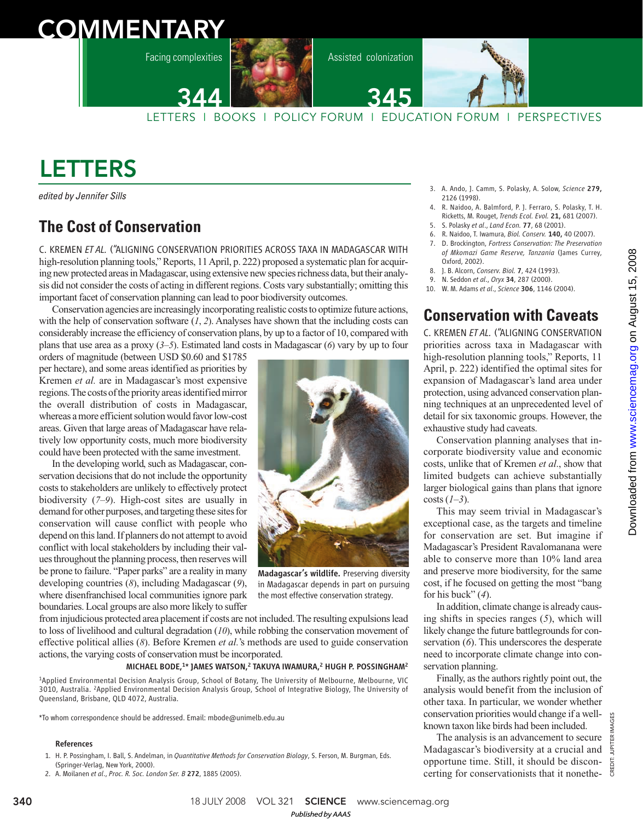# **COMMENTARY**

Facing complexities



Assisted colonization



LETTERS I BOOKS I POLICY FORUM I EDUCATION FORUM I PERSPECTIVES 344

# LETTERS

edited by Jennifer Sills

## **The Cost of Conservation**

C. KREMEN *ET AL.* ("ALIGNING CONSERVATION PRIORITIES ACROSS TAXA IN MADAGASCAR WITH high-resolution planning tools," Reports, 11 April, p. 222) proposed a systematic plan for acquiring new protected areas in Madagascar, using extensive new species richness data, but their analysis did not consider the costs of acting in different regions. Costs vary substantially; omitting this important facet of conservation planning can lead to poor biodiversity outcomes.

Conservation agencies are increasingly incorporating realistic costs to optimize future actions, with the help of conservation software  $(1, 2)$ . Analyses have shown that the including costs can considerably increase the efficiency of conservation plans, by up to a factor of 10, compared with plans that use area as a proxy  $(3-5)$ . Estimated land costs in Madagascar  $(6)$  vary by up to four

orders of magnitude (between USD \$0.60 and \$1785 per hectare), and some areas identified as priorities by Kremen *et al.* are in Madagascar's most expensive regions. The costs of the priority areas identified mirror the overall distribution of costs in Madagascar, whereas a more efficient solution would favor low-cost areas. Given that large areas of Madagascar have relatively low opportunity costs, much more biodiversity could have been protected with the same investment.

In the developing world, such as Madagascar, conservation decisions that do not include the opportunity costs to stakeholders are unlikely to effectively protect biodiversity (*7*–*9*). High-cost sites are usually in demand for other purposes, and targeting these sites for conservation will cause conflict with people who depend on this land. If planners do not attempt to avoid conflict with local stakeholders by including their values throughout the planning process, then reserves will be prone to failure. "Paper parks" are a reality in many developing countries (*8*), including Madagascar (*9*), where disenfranchised local communities ignore park boundaries. Local groups are also more likely to suffer



Madagascar's wildlife. Preserving diversity in Madagascar depends in part on pursuing the most effective conservation strategy.

from injudicious protected area placement if costs are not included. The resulting expulsions lead to loss of livelihood and cultural degradation (*10*), while robbing the conservation movement of effective political allies (*8*). Before Kremen *et al.*'s methods are used to guide conservation actions, the varying costs of conservation must be incorporated.

### MICHAEL BODE,<sup>1\*</sup> JAMES WATSON,<sup>2</sup> TAKUYA IWAMURA,<sup>2</sup> HUGH P. POSSINGHAM<sup>2</sup>

<sup>1</sup>Applied Environmental Decision Analysis Group, School of Botany, The University of Melbourne, Melbourne, VIC 3010, Australia. <sup>2</sup>Applied Environmental Decision Analysis Group, School of Integrative Biology, The University of Queensland, Brisbane, QLD 4072, Australia.

\*To whom correspondence should be addressed. Email: mbode@unimelb.edu.au

#### References

- 1. H. P. Possingham, I. Ball, S. Andelman, in *Quantitative Methods for Conservation Biology*, S. Ferson, M. Burgman, Eds. (Springer-Verlag, New York, 2000).
- 2. A. Moilanen *et al*., *Proc. R. Soc. London Ser. B* 272, 1885 (2005).
- 3. A. Ando, J. Camm, S. Polasky, A. Solow, *Science* 279, 2126 (1998).
- 4. R. Naidoo, A. Balmford, P. J. Ferraro, S. Polasky, T. H. Ricketts, M. Rouget, *Trends Ecol. Evol.* 21, 681 (2007).
- 5. S. Polasky *et al*., *Land Econ.* 77, 68 (2001).
- 6. R. Naidoo, T. Iwamura, *Biol. Conserv.* 140, 40 (2007). 7. D. Brockington, *Fortress Conservation: The Preservation of Mkomazi Game Reserve, Tanzania* (James Currey, Oxford, 2002).
- 8. J. B. Alcorn, *Conserv. Biol.* 7, 424 (1993).
- 9. N. Seddon *et al*., *Oryx* 34, 287 (2000).
- 10. W. M. Adams *et al*., *Science* 306, 1146 (2004).

## **Conservation with Caveats**

C. KREMEN *ET AL.* ("ALIGNING CONSERVATION priorities across taxa in Madagascar with high-resolution planning tools," Reports, 11 April, p. 222) identified the optimal sites for expansion of Madagascar's land area under protection, using advanced conservation planning techniques at an unprecedented level of detail for six taxonomic groups. However, the exhaustive study had caveats.

Conservation planning analyses that incorporate biodiversity value and economic costs, unlike that of Kremen *et al*., show that limited budgets can achieve substantially larger biological gains than plans that ignore costs (*1*–*3*).

This may seem trivial in Madagascar's exceptional case, as the targets and timeline for conservation are set. But imagine if Madagascar's President Ravalomanana were able to conserve more than 10% land area and preserve more biodiversity, for the same cost, if he focused on getting the most "bang for his buck" (*4*).

In addition, climate change is already causing shifts in species ranges (*5*), which will likely change the future battlegrounds for conservation (*6*). This underscores the desperate need to incorporate climate change into conservation planning.

Finally, as the authors rightly point out, the analysis would benefit from the inclusion of other taxa. In particular, we wonder whether conservation priorities would change if a wellknown taxon like birds had been included.

The analysis is an advancement to secure Madagascar's biodiversity at a crucial and opportune time. Still, it should be disconcerting for conservationists that it nonethe-

CREDIT: JUPITER IMAGES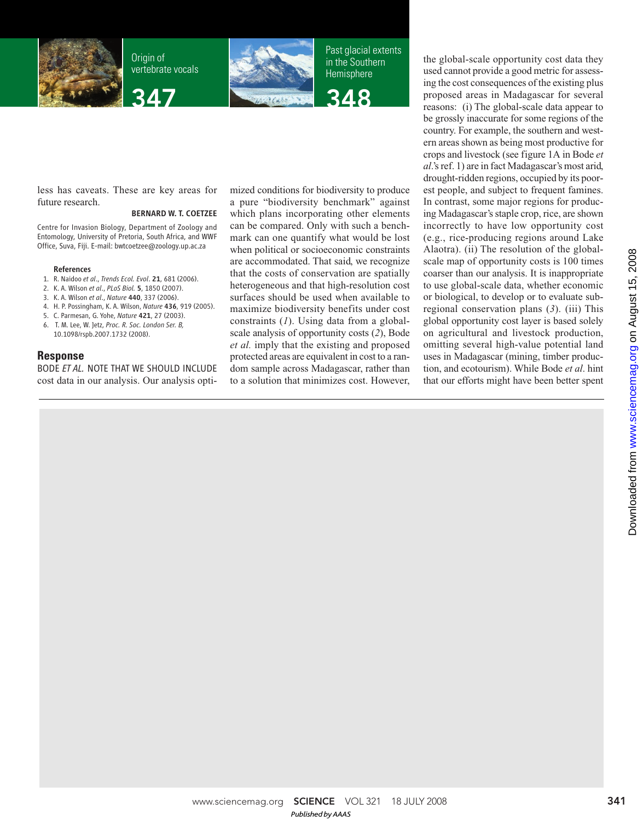

Origin of vertebrate vocals

347



Past glacial extents in the Southern **Hemisphere** 



less has caveats. These are key areas for future research.

#### BERNARD W. T. COETZEE

Centre for Invasion Biology, Department of Zoology and Entomology, University of Pretoria, South Africa, and WWF Office, Suva, Fiji. E-mail: bwtcoetzee@zoology.up.ac.za

#### References

- 1. R. Naidoo *et al*., *Trends Ecol. Evol*. 21, 681 (2006).
- 2. K. A. Wilson *et al*., *PLoS Biol.* 5, 1850 (2007).
- 3. K. A. Wilson *et al*., *Nature* 440, 337 (2006).
- 4. H. P. Possingham, K. A. Wilson, *Nature* 436, 919 (2005).
- 5. C. Parmesan, G. Yohe, *Nature* 421, 27 (2003).
- 6. T. M. Lee, W. Jetz, *Proc. R. Soc. London Ser. B,* 10.1098/rspb.2007.1732 (2008).

## **Response**

BODE *ET AL.* NOTE THAT WE SHOULD INCLUDE cost data in our analysis. Our analysis optimized conditions for biodiversity to produce a pure "biodiversity benchmark" against which plans incorporating other elements can be compared. Only with such a benchmark can one quantify what would be lost when political or socioeconomic constraints are accommodated. That said, we recognize that the costs of conservation are spatially heterogeneous and that high-resolution cost surfaces should be used when available to maximize biodiversity benefits under cost constraints (*1*). Using data from a globalscale analysis of opportunity costs (*2*), Bode *et al.* imply that the existing and proposed protected areas are equivalent in cost to a random sample across Madagascar, rather than to a solution that minimizes cost. However, the global-scale opportunity cost data they used cannot provide a good metric for assessing the cost consequences of the existing plus proposed areas in Madagascar for several reasons: (i) The global-scale data appear to be grossly inaccurate for some regions of the country. For example, the southern and western areas shown as being most productive for crops and livestock (see figure 1A in Bode *et al*.'s ref. 1) are in fact Madagascar's most arid, drought-ridden regions, occupied by its poorest people, and subject to frequent famines. In contrast, some major regions for producing Madagascar's staple crop, rice, are shown incorrectly to have low opportunity cost (e.g., rice-producing regions around Lake Alaotra). (ii) The resolution of the globalscale map of opportunity costs is 100 times coarser than our analysis. It is inappropriate to use global-scale data, whether economic or biological, to develop or to evaluate subregional conservation plans (*3*). (iii) This global opportunity cost layer is based solely on agricultural and livestock production, omitting several high-value potential land uses in Madagascar (mining, timber production, and ecotourism). While Bode *et al*. hint that our efforts might have been better spent